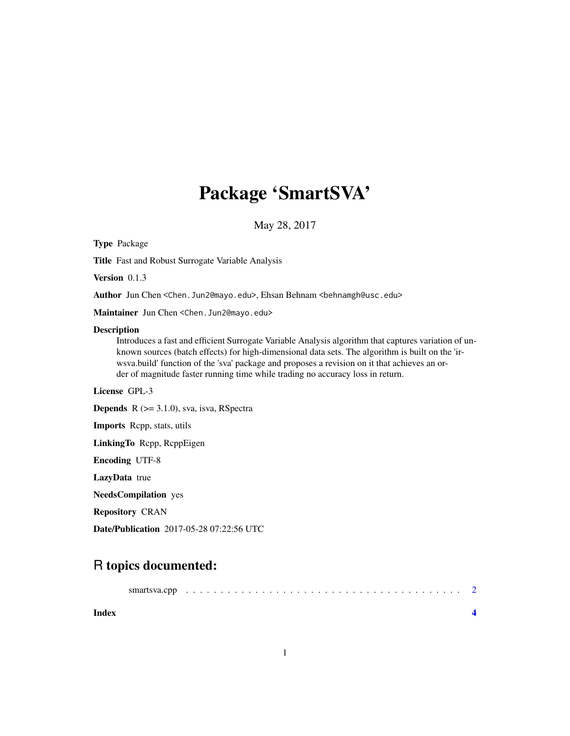## Package 'SmartSVA'

May 28, 2017

Version 0.1.3 Author Jun Chen <Chen.Jun2@mayo.edu>, Ehsan Behnam <br/>behnamgh@usc.edu> Maintainer Jun Chen <Chen.Jun2@mayo.edu> Description Introduces a fast and efficient Surrogate Variable Analysis algorithm that captures variation of unknown sources (batch effects) for high-dimensional data sets. The algorithm is built on the 'irwsva.build' function of the 'sva' package and proposes a revision on it that achieves an order of magnitude faster running time while trading no accuracy loss in return. License GPL-3 Depends R (>= 3.1.0), sva, isva, RSpectra Imports Rcpp, stats, utils LinkingTo Rcpp, RcppEigen Encoding UTF-8 LazyData true NeedsCompilation yes Repository CRAN Date/Publication 2017-05-28 07:22:56 UTC

### R topics documented:

Type Package

Title Fast and Robust Surrogate Variable Analysis

| Index |  |  |  |  |  |  |  |  |  |  |  |  |  |  |  |
|-------|--|--|--|--|--|--|--|--|--|--|--|--|--|--|--|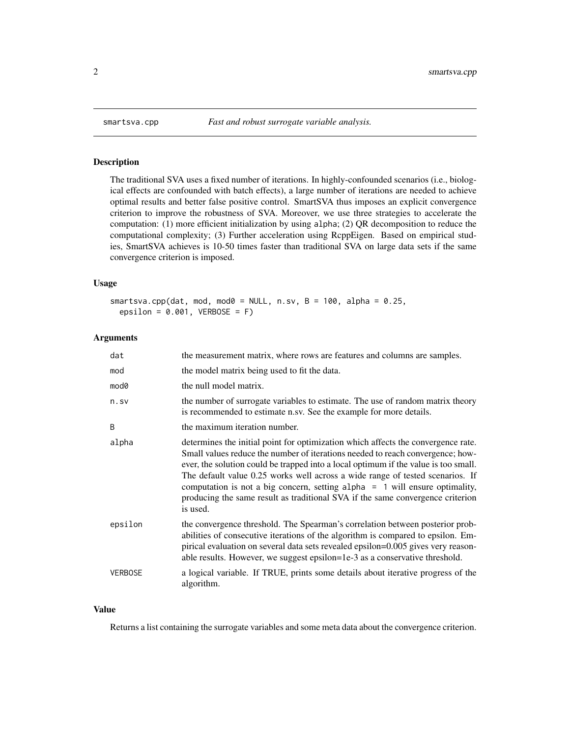<span id="page-1-0"></span>

#### Description

The traditional SVA uses a fixed number of iterations. In highly-confounded scenarios (i.e., biological effects are confounded with batch effects), a large number of iterations are needed to achieve optimal results and better false positive control. SmartSVA thus imposes an explicit convergence criterion to improve the robustness of SVA. Moreover, we use three strategies to accelerate the computation: (1) more efficient initialization by using alpha; (2) QR decomposition to reduce the computational complexity; (3) Further acceleration using RcppEigen. Based on empirical studies, SmartSVA achieves is 10-50 times faster than traditional SVA on large data sets if the same convergence criterion is imposed.

#### Usage

```
smartsva.cpp(dat, mod, mod0 = NULL, n.sv, B = 100, alpha = 0.25,
 epsilon = 0.001, VERBOSE = F)
```
#### Arguments

| dat            | the measurement matrix, where rows are features and columns are samples.                                                                                                                                                                                                                                                                                                                                                                                                                                                   |
|----------------|----------------------------------------------------------------------------------------------------------------------------------------------------------------------------------------------------------------------------------------------------------------------------------------------------------------------------------------------------------------------------------------------------------------------------------------------------------------------------------------------------------------------------|
| mod            | the model matrix being used to fit the data.                                                                                                                                                                                                                                                                                                                                                                                                                                                                               |
| mod0           | the null model matrix.                                                                                                                                                                                                                                                                                                                                                                                                                                                                                                     |
| n.sv           | the number of surrogate variables to estimate. The use of random matrix theory<br>is recommended to estimate n.sv. See the example for more details.                                                                                                                                                                                                                                                                                                                                                                       |
| B              | the maximum iteration number.                                                                                                                                                                                                                                                                                                                                                                                                                                                                                              |
| alpha          | determines the initial point for optimization which affects the convergence rate.<br>Small values reduce the number of iterations needed to reach convergence; how-<br>ever, the solution could be trapped into a local optimum if the value is too small.<br>The default value 0.25 works well across a wide range of tested scenarios. If<br>computation is not a big concern, setting alpha $= 1$ will ensure optimality,<br>producing the same result as traditional SVA if the same convergence criterion<br>is used. |
| epsilon        | the convergence threshold. The Spearman's correlation between posterior prob-<br>abilities of consecutive iterations of the algorithm is compared to epsilon. Em-<br>pirical evaluation on several data sets revealed epsilon=0.005 gives very reason-<br>able results. However, we suggest epsilon=1e-3 as a conservative threshold.                                                                                                                                                                                      |
| <b>VERBOSE</b> | a logical variable. If TRUE, prints some details about iterative progress of the<br>algorithm.                                                                                                                                                                                                                                                                                                                                                                                                                             |

#### Value

Returns a list containing the surrogate variables and some meta data about the convergence criterion.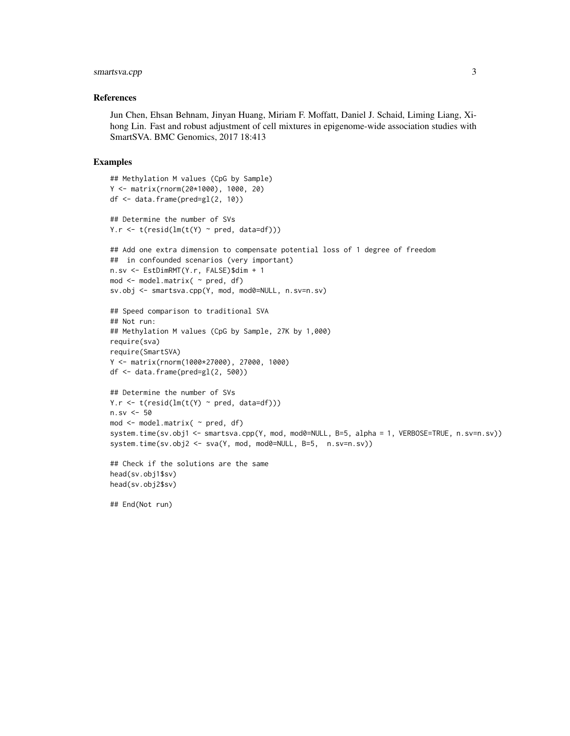#### smartsva.cpp 3

#### References

Jun Chen, Ehsan Behnam, Jinyan Huang, Miriam F. Moffatt, Daniel J. Schaid, Liming Liang, Xihong Lin. Fast and robust adjustment of cell mixtures in epigenome-wide association studies with SmartSVA. BMC Genomics, 2017 18:413

#### Examples

```
## Methylation M values (CpG by Sample)
Y <- matrix(rnorm(20*1000), 1000, 20)
df <- data.frame(pred=gl(2, 10))
## Determine the number of SVs
Y.r \leftarrow t(resid(\text{lm}(t(Y) \sim pred, data=df)))## Add one extra dimension to compensate potential loss of 1 degree of freedom
## in confounded scenarios (very important)
n.sv <- EstDimRMT(Y.r, FALSE)$dim + 1
mod <- model.matrix( ~ pred, df)
sv.obj <- smartsva.cpp(Y, mod, mod0=NULL, n.sv=n.sv)
## Speed comparison to traditional SVA
## Not run:
## Methylation M values (CpG by Sample, 27K by 1,000)
require(sva)
require(SmartSVA)
Y <- matrix(rnorm(1000*27000), 27000, 1000)
df <- data.frame(pred=gl(2, 500))
## Determine the number of SVs
Y.r \leq t(resid(lm(t(Y) \sim pred, data=df)))
n.sv < -50mod <- model.matrix( ~ pred, df)
system.time(sv.obj1 <- smartsva.cpp(Y, mod, mod0=NULL, B=5, alpha = 1, VERBOSE=TRUE, n.sv=n.sv))
system.time(sv.obj2 <- sva(Y, mod, mod0=NULL, B=5, n.sv=n.sv))
## Check if the solutions are the same
head(sv.obj1$sv)
```
## End(Not run)

head(sv.obj2\$sv)